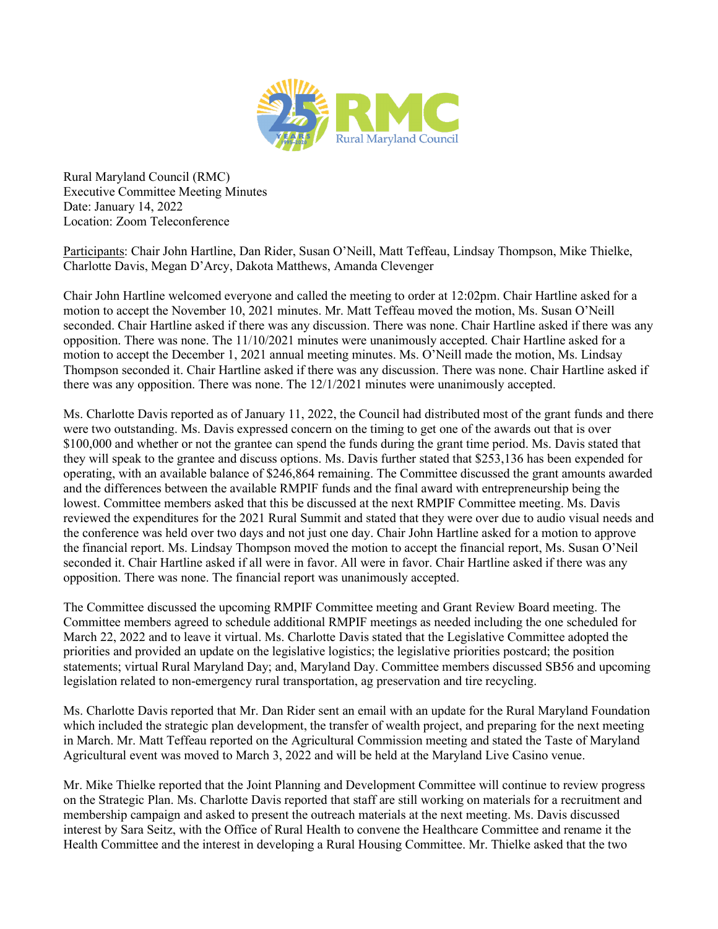

Rural Maryland Council (RMC) Executive Committee Meeting Minutes Date: January 14, 2022 Location: Zoom Teleconference

Participants: Chair John Hartline, Dan Rider, Susan O'Neill, Matt Teffeau, Lindsay Thompson, Mike Thielke, Charlotte Davis, Megan D'Arcy, Dakota Matthews, Amanda Clevenger

Chair John Hartline welcomed everyone and called the meeting to order at 12:02pm. Chair Hartline asked for a motion to accept the November 10, 2021 minutes. Mr. Matt Teffeau moved the motion, Ms. Susan O'Neill seconded. Chair Hartline asked if there was any discussion. There was none. Chair Hartline asked if there was any opposition. There was none. The 11/10/2021 minutes were unanimously accepted. Chair Hartline asked for a motion to accept the December 1, 2021 annual meeting minutes. Ms. O'Neill made the motion, Ms. Lindsay Thompson seconded it. Chair Hartline asked if there was any discussion. There was none. Chair Hartline asked if there was any opposition. There was none. The 12/1/2021 minutes were unanimously accepted.

Ms. Charlotte Davis reported as of January 11, 2022, the Council had distributed most of the grant funds and there were two outstanding. Ms. Davis expressed concern on the timing to get one of the awards out that is over \$100,000 and whether or not the grantee can spend the funds during the grant time period. Ms. Davis stated that they will speak to the grantee and discuss options. Ms. Davis further stated that \$253,136 has been expended for operating, with an available balance of \$246,864 remaining. The Committee discussed the grant amounts awarded and the differences between the available RMPIF funds and the final award with entrepreneurship being the lowest. Committee members asked that this be discussed at the next RMPIF Committee meeting. Ms. Davis reviewed the expenditures for the 2021 Rural Summit and stated that they were over due to audio visual needs and the conference was held over two days and not just one day. Chair John Hartline asked for a motion to approve the financial report. Ms. Lindsay Thompson moved the motion to accept the financial report, Ms. Susan O'Neil seconded it. Chair Hartline asked if all were in favor. All were in favor. Chair Hartline asked if there was any opposition. There was none. The financial report was unanimously accepted.

The Committee discussed the upcoming RMPIF Committee meeting and Grant Review Board meeting. The Committee members agreed to schedule additional RMPIF meetings as needed including the one scheduled for March 22, 2022 and to leave it virtual. Ms. Charlotte Davis stated that the Legislative Committee adopted the priorities and provided an update on the legislative logistics; the legislative priorities postcard; the position statements; virtual Rural Maryland Day; and, Maryland Day. Committee members discussed SB56 and upcoming legislation related to non-emergency rural transportation, ag preservation and tire recycling.

Ms. Charlotte Davis reported that Mr. Dan Rider sent an email with an update for the Rural Maryland Foundation which included the strategic plan development, the transfer of wealth project, and preparing for the next meeting in March. Mr. Matt Teffeau reported on the Agricultural Commission meeting and stated the Taste of Maryland Agricultural event was moved to March 3, 2022 and will be held at the Maryland Live Casino venue.

Mr. Mike Thielke reported that the Joint Planning and Development Committee will continue to review progress on the Strategic Plan. Ms. Charlotte Davis reported that staff are still working on materials for a recruitment and membership campaign and asked to present the outreach materials at the next meeting. Ms. Davis discussed interest by Sara Seitz, with the Office of Rural Health to convene the Healthcare Committee and rename it the Health Committee and the interest in developing a Rural Housing Committee. Mr. Thielke asked that the two